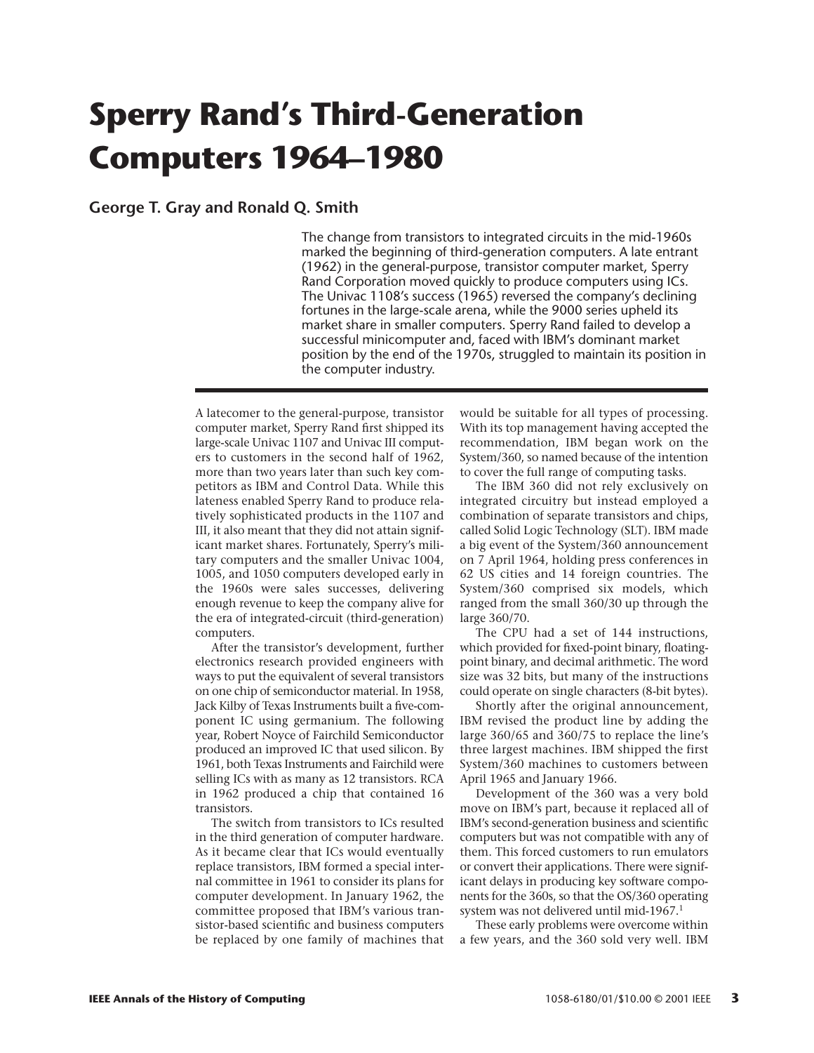# **Sperry Rand's Third-Generation Computers 1964–1980**

**George T. Gray and Ronald Q. Smith**

The change from transistors to integrated circuits in the mid-1960s marked the beginning of third-generation computers. A late entrant (1962) in the general-purpose, transistor computer market, Sperry Rand Corporation moved quickly to produce computers using ICs. The Univac 1108's success (1965) reversed the company's declining fortunes in the large-scale arena, while the 9000 series upheld its market share in smaller computers. Sperry Rand failed to develop a successful minicomputer and, faced with IBM's dominant market position by the end of the 1970s, struggled to maintain its position in the computer industry.

A latecomer to the general-purpose, transistor computer market, Sperry Rand first shipped its large-scale Univac 1107 and Univac III computers to customers in the second half of 1962, more than two years later than such key competitors as IBM and Control Data. While this lateness enabled Sperry Rand to produce relatively sophisticated products in the 1107 and III, it also meant that they did not attain significant market shares. Fortunately, Sperry's military computers and the smaller Univac 1004, 1005, and 1050 computers developed early in the 1960s were sales successes, delivering enough revenue to keep the company alive for the era of integrated-circuit (third-generation) computers.

After the transistor's development, further electronics research provided engineers with ways to put the equivalent of several transistors on one chip of semiconductor material. In 1958, Jack Kilby of Texas Instruments built a five-component IC using germanium. The following year, Robert Noyce of Fairchild Semiconductor produced an improved IC that used silicon. By 1961, both Texas Instruments and Fairchild were selling ICs with as many as 12 transistors. RCA in 1962 produced a chip that contained 16 transistors.

The switch from transistors to ICs resulted in the third generation of computer hardware. As it became clear that ICs would eventually replace transistors, IBM formed a special internal committee in 1961 to consider its plans for computer development. In January 1962, the committee proposed that IBM's various transistor-based scientific and business computers be replaced by one family of machines that would be suitable for all types of processing. With its top management having accepted the recommendation, IBM began work on the System/360, so named because of the intention to cover the full range of computing tasks.

The IBM 360 did not rely exclusively on integrated circuitry but instead employed a combination of separate transistors and chips, called Solid Logic Technology (SLT). IBM made a big event of the System/360 announcement on 7 April 1964, holding press conferences in 62 US cities and 14 foreign countries. The System/360 comprised six models, which ranged from the small 360/30 up through the large 360/70.

The CPU had a set of 144 instructions, which provided for fixed-point binary, floatingpoint binary, and decimal arithmetic. The word size was 32 bits, but many of the instructions could operate on single characters (8-bit bytes).

Shortly after the original announcement, IBM revised the product line by adding the large 360/65 and 360/75 to replace the line's three largest machines. IBM shipped the first System/360 machines to customers between April 1965 and January 1966.

Development of the 360 was a very bold move on IBM's part, because it replaced all of IBM's second-generation business and scientific computers but was not compatible with any of them. This forced customers to run emulators or convert their applications. There were significant delays in producing key software components for the 360s, so that the OS/360 operating system was not delivered until mid-1967.1

These early problems were overcome within a few years, and the 360 sold very well. IBM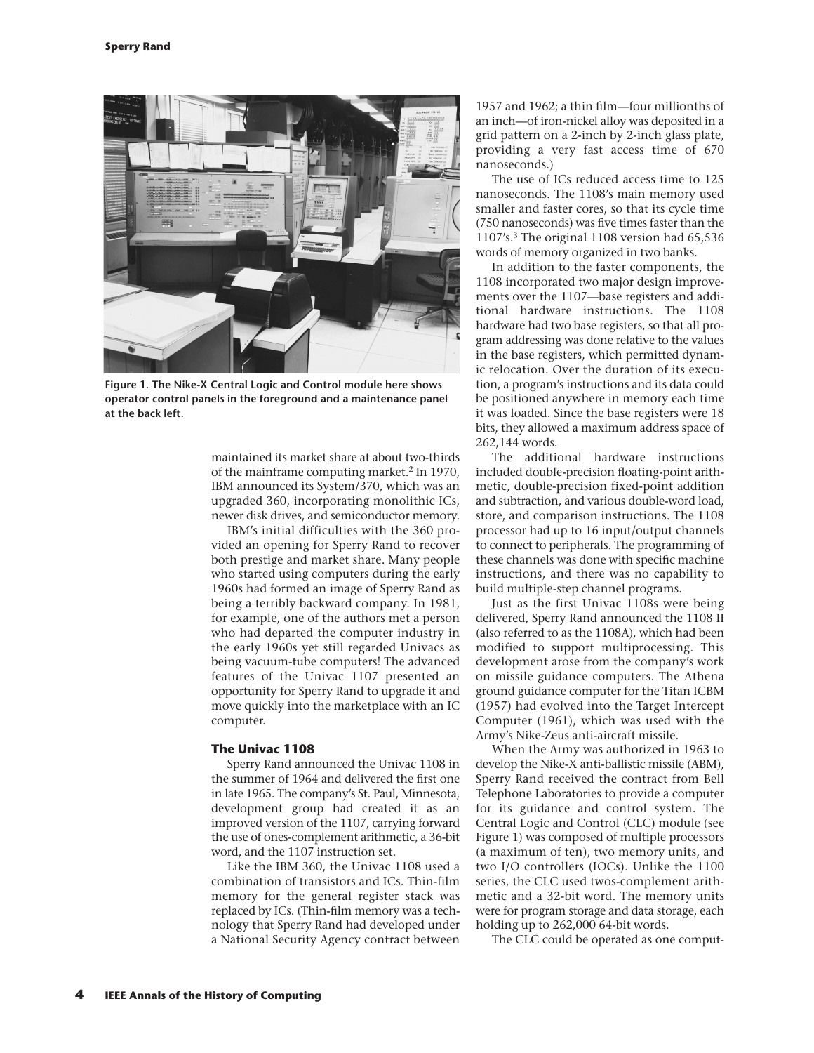

**Figure 1. The Nike-X Central Logic and Control module here shows operator control panels in the foreground and a maintenance panel at the back left.**

maintained its market share at about two-thirds of the mainframe computing market.<sup>2</sup> In 1970, IBM announced its System/370, which was an upgraded 360, incorporating monolithic ICs, newer disk drives, and semiconductor memory.

IBM's initial difficulties with the 360 provided an opening for Sperry Rand to recover both prestige and market share. Many people who started using computers during the early 1960s had formed an image of Sperry Rand as being a terribly backward company. In 1981, for example, one of the authors met a person who had departed the computer industry in the early 1960s yet still regarded Univacs as being vacuum-tube computers! The advanced features of the Univac 1107 presented an opportunity for Sperry Rand to upgrade it and move quickly into the marketplace with an IC computer.

# **The Univac 1108**

Sperry Rand announced the Univac 1108 in the summer of 1964 and delivered the first one in late 1965. The company's St. Paul, Minnesota, development group had created it as an improved version of the 1107, carrying forward the use of ones-complement arithmetic, a 36-bit word, and the 1107 instruction set.

Like the IBM 360, the Univac 1108 used a combination of transistors and ICs. Thin-film memory for the general register stack was replaced by ICs. (Thin-film memory was a technology that Sperry Rand had developed under a National Security Agency contract between

1957 and 1962; a thin film—four millionths of an inch—of iron-nickel alloy was deposited in a grid pattern on a 2-inch by 2-inch glass plate, providing a very fast access time of 670 nanoseconds.)

The use of ICs reduced access time to 125 nanoseconds. The 1108's main memory used smaller and faster cores, so that its cycle time (750 nanoseconds) was five times faster than the 1107's.3 The original 1108 version had 65,536 words of memory organized in two banks.

In addition to the faster components, the 1108 incorporated two major design improvements over the 1107—base registers and additional hardware instructions. The 1108 hardware had two base registers, so that all program addressing was done relative to the values in the base registers, which permitted dynamic relocation. Over the duration of its execution, a program's instructions and its data could be positioned anywhere in memory each time it was loaded. Since the base registers were 18 bits, they allowed a maximum address space of 262,144 words.

The additional hardware instructions included double-precision floating-point arithmetic, double-precision fixed-point addition and subtraction, and various double-word load, store, and comparison instructions. The 1108 processor had up to 16 input/output channels to connect to peripherals. The programming of these channels was done with specific machine instructions, and there was no capability to build multiple-step channel programs.

Just as the first Univac 1108s were being delivered, Sperry Rand announced the 1108 II (also referred to as the 1108A), which had been modified to support multiprocessing. This development arose from the company's work on missile guidance computers. The Athena ground guidance computer for the Titan ICBM (1957) had evolved into the Target Intercept Computer (1961), which was used with the Army's Nike-Zeus anti-aircraft missile.

When the Army was authorized in 1963 to develop the Nike-X anti-ballistic missile (ABM), Sperry Rand received the contract from Bell Telephone Laboratories to provide a computer for its guidance and control system. The Central Logic and Control (CLC) module (see Figure 1) was composed of multiple processors (a maximum of ten), two memory units, and two I/O controllers (IOCs). Unlike the 1100 series, the CLC used twos-complement arithmetic and a 32-bit word. The memory units were for program storage and data storage, each holding up to 262,000 64-bit words.

The CLC could be operated as one comput-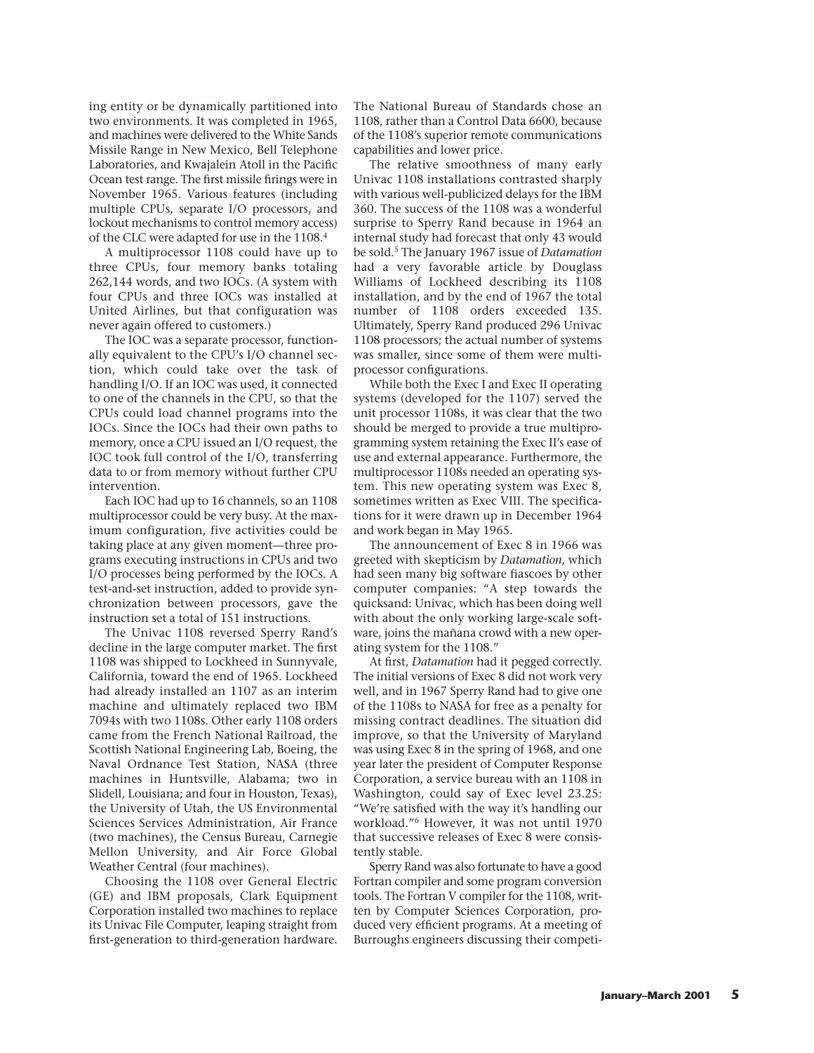ing entity or be dynamically partitioned into two environments. It was completed in 1965, and machines were delivered to the White Sands Missile Range in New Mexico, Bell Telephone Laboratories, and Kwajalein Atoll in the Pacific Ocean test range. The first missile firings were in November 1965. Various features (including multiple CPUs, separate I/O processors, and lockout mechanisms to control memory access) of the CLC were adapted for use in the 1108.4

A multiprocessor 1108 could have up to three CPUs, four memory banks totaling 262,144 words, and two IOCs. (A system with four CPUs and three IOCs was installed at United Airlines, but that configuration was never again offered to customers.)

The IOC was a separate processor, functionally equivalent to the CPU's I/O channel section, which could take over the task of handling I/O. If an IOC was used, it connected to one of the channels in the CPU, so that the CPUs could load channel programs into the IOCs. Since the IOCs had their own paths to memory, once a CPU issued an I/O request, the IOC took full control of the I/O, transferring data to or from memory without further CPU intervention.

Each IOC had up to 16 channels, so an 1108 multiprocessor could be very busy. At the maximum configuration, five activities could be taking place at any given moment—three programs executing instructions in CPUs and two I/O processes being performed by the IOCs. A test-and-set instruction, added to provide synchronization between processors, gave the instruction set a total of 151 instructions.

The Univac 1108 reversed Sperry Rand's decline in the large computer market. The first 1108 was shipped to Lockheed in Sunnyvale, California, toward the end of 1965. Lockheed had already installed an 1107 as an interim machine and ultimately replaced two IBM 7094s with two 1108s. Other early 1108 orders came from the French National Railroad, the Scottish National Engineering Lab, Boeing, the Naval Ordnance Test Station, NASA (three machines in Huntsville, Alabama; two in Slidell, Louisiana; and four in Houston, Texas), the University of Utah, the US Environmental Sciences Services Administration, Air France (two machines), the Census Bureau, Carnegie Mellon University, and Air Force Global Weather Central (four machines).

Choosing the 1108 over General Electric (GE) and IBM proposals, Clark Equipment Corporation installed two machines to replace its Univac File Computer, leaping straight from first-generation to third-generation hardware.

The National Bureau of Standards chose an 1108, rather than a Control Data 6600, because of the 1108's superior remote communications capabilities and lower price.

The relative smoothness of many early Univac 1108 installations contrasted sharply with various well-publicized delays for the IBM 360. The success of the 1108 was a wonderful surprise to Sperry Rand because in 1964 an internal study had forecast that only 43 would be sold.5 The January 1967 issue of *Datamation* had a very favorable article by Douglass Williams of Lockheed describing its 1108 installation, and by the end of 1967 the total number of 1108 orders exceeded 135. Ultimately, Sperry Rand produced 296 Univac 1108 processors; the actual number of systems was smaller, since some of them were multiprocessor configurations.

While both the Exec I and Exec II operating systems (developed for the 1107) served the unit processor 1108s, it was clear that the two should be merged to provide a true multiprogramming system retaining the Exec II's ease of use and external appearance. Furthermore, the multiprocessor 1108s needed an operating system. This new operating system was Exec 8, sometimes written as Exec VIII. The specifications for it were drawn up in December 1964 and work began in May 1965.

The announcement of Exec 8 in 1966 was greeted with skepticism by *Datamation*, which had seen many big software fiascoes by other computer companies: "A step towards the quicksand: Univac, which has been doing well with about the only working large-scale software, joins the mañana crowd with a new operating system for the 1108."

At first, *Datamation* had it pegged correctly. The initial versions of Exec 8 did not work very well, and in 1967 Sperry Rand had to give one of the 1108s to NASA for free as a penalty for missing contract deadlines. The situation did improve, so that the University of Maryland was using Exec 8 in the spring of 1968, and one year later the president of Computer Response Corporation, a service bureau with an 1108 in Washington, could say of Exec level 23.25: "We're satisfied with the way it's handling our workload."6 However, it was not until 1970 that successive releases of Exec 8 were consistently stable.

Sperry Rand was also fortunate to have a good Fortran compiler and some program conversion tools. The Fortran V compiler for the 1108, written by Computer Sciences Corporation, produced very efficient programs. At a meeting of Burroughs engineers discussing their competi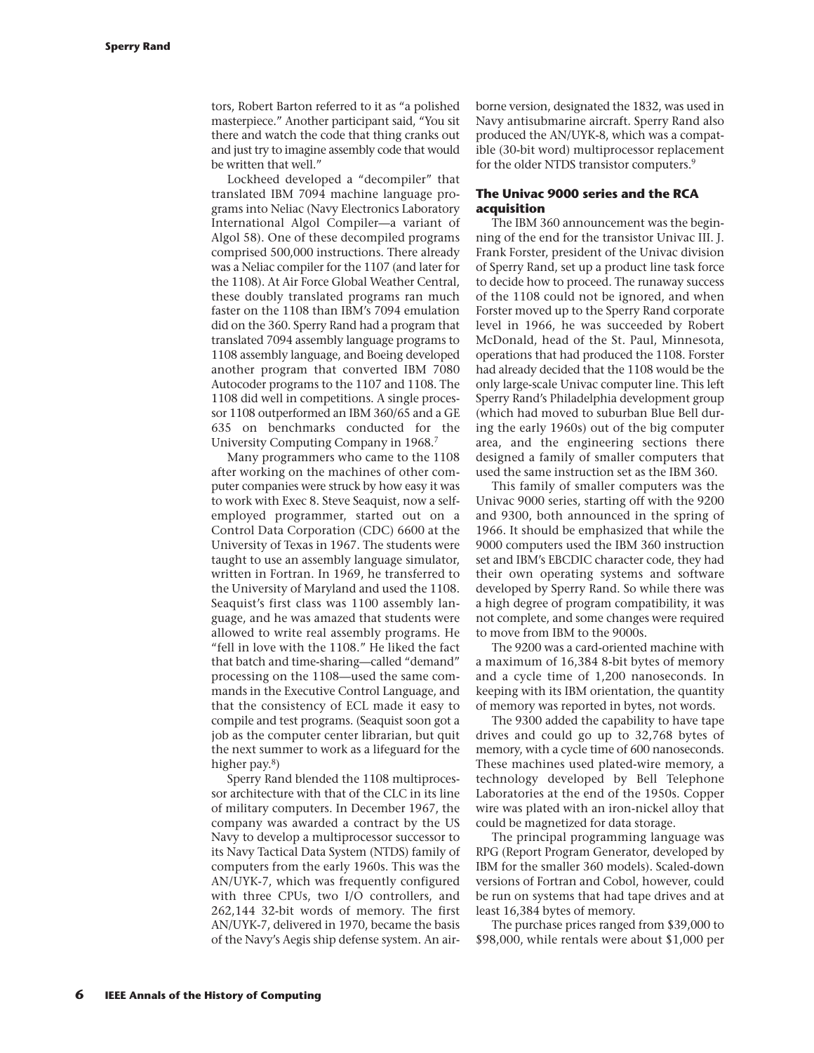tors, Robert Barton referred to it as "a polished masterpiece." Another participant said, "You sit there and watch the code that thing cranks out and just try to imagine assembly code that would be written that well."

Lockheed developed a "decompiler" that translated IBM 7094 machine language programs into Neliac (Navy Electronics Laboratory International Algol Compiler—a variant of Algol 58). One of these decompiled programs comprised 500,000 instructions. There already was a Neliac compiler for the 1107 (and later for the 1108). At Air Force Global Weather Central, these doubly translated programs ran much faster on the 1108 than IBM's 7094 emulation did on the 360. Sperry Rand had a program that translated 7094 assembly language programs to 1108 assembly language, and Boeing developed another program that converted IBM 7080 Autocoder programs to the 1107 and 1108. The 1108 did well in competitions. A single processor 1108 outperformed an IBM 360/65 and a GE 635 on benchmarks conducted for the University Computing Company in 1968.7

Many programmers who came to the 1108 after working on the machines of other computer companies were struck by how easy it was to work with Exec 8. Steve Seaquist, now a selfemployed programmer, started out on a Control Data Corporation (CDC) 6600 at the University of Texas in 1967. The students were taught to use an assembly language simulator, written in Fortran. In 1969, he transferred to the University of Maryland and used the 1108. Seaquist's first class was 1100 assembly language, and he was amazed that students were allowed to write real assembly programs. He "fell in love with the 1108." He liked the fact that batch and time-sharing—called "demand" processing on the 1108—used the same commands in the Executive Control Language, and that the consistency of ECL made it easy to compile and test programs. (Seaquist soon got a job as the computer center librarian, but quit the next summer to work as a lifeguard for the higher pay.<sup>8</sup>)

Sperry Rand blended the 1108 multiprocessor architecture with that of the CLC in its line of military computers. In December 1967, the company was awarded a contract by the US Navy to develop a multiprocessor successor to its Navy Tactical Data System (NTDS) family of computers from the early 1960s. This was the AN/UYK-7, which was frequently configured with three CPUs, two I/O controllers, and 262,144 32-bit words of memory. The first AN/UYK-7, delivered in 1970, became the basis of the Navy's Aegis ship defense system. An airborne version, designated the 1832, was used in Navy antisubmarine aircraft. Sperry Rand also produced the AN/UYK-8, which was a compatible (30-bit word) multiprocessor replacement for the older NTDS transistor computers.<sup>9</sup>

# **The Univac 9000 series and the RCA acquisition**

The IBM 360 announcement was the beginning of the end for the transistor Univac III. J. Frank Forster, president of the Univac division of Sperry Rand, set up a product line task force to decide how to proceed. The runaway success of the 1108 could not be ignored, and when Forster moved up to the Sperry Rand corporate level in 1966, he was succeeded by Robert McDonald, head of the St. Paul, Minnesota, operations that had produced the 1108. Forster had already decided that the 1108 would be the only large-scale Univac computer line. This left Sperry Rand's Philadelphia development group (which had moved to suburban Blue Bell during the early 1960s) out of the big computer area, and the engineering sections there designed a family of smaller computers that used the same instruction set as the IBM 360.

This family of smaller computers was the Univac 9000 series, starting off with the 9200 and 9300, both announced in the spring of 1966. It should be emphasized that while the 9000 computers used the IBM 360 instruction set and IBM's EBCDIC character code, they had their own operating systems and software developed by Sperry Rand. So while there was a high degree of program compatibility, it was not complete, and some changes were required to move from IBM to the 9000s.

The 9200 was a card-oriented machine with a maximum of 16,384 8-bit bytes of memory and a cycle time of 1,200 nanoseconds. In keeping with its IBM orientation, the quantity of memory was reported in bytes, not words.

The 9300 added the capability to have tape drives and could go up to 32,768 bytes of memory, with a cycle time of 600 nanoseconds. These machines used plated-wire memory, a technology developed by Bell Telephone Laboratories at the end of the 1950s. Copper wire was plated with an iron-nickel alloy that could be magnetized for data storage.

The principal programming language was RPG (Report Program Generator, developed by IBM for the smaller 360 models). Scaled-down versions of Fortran and Cobol, however, could be run on systems that had tape drives and at least 16,384 bytes of memory.

The purchase prices ranged from \$39,000 to \$98,000, while rentals were about \$1,000 per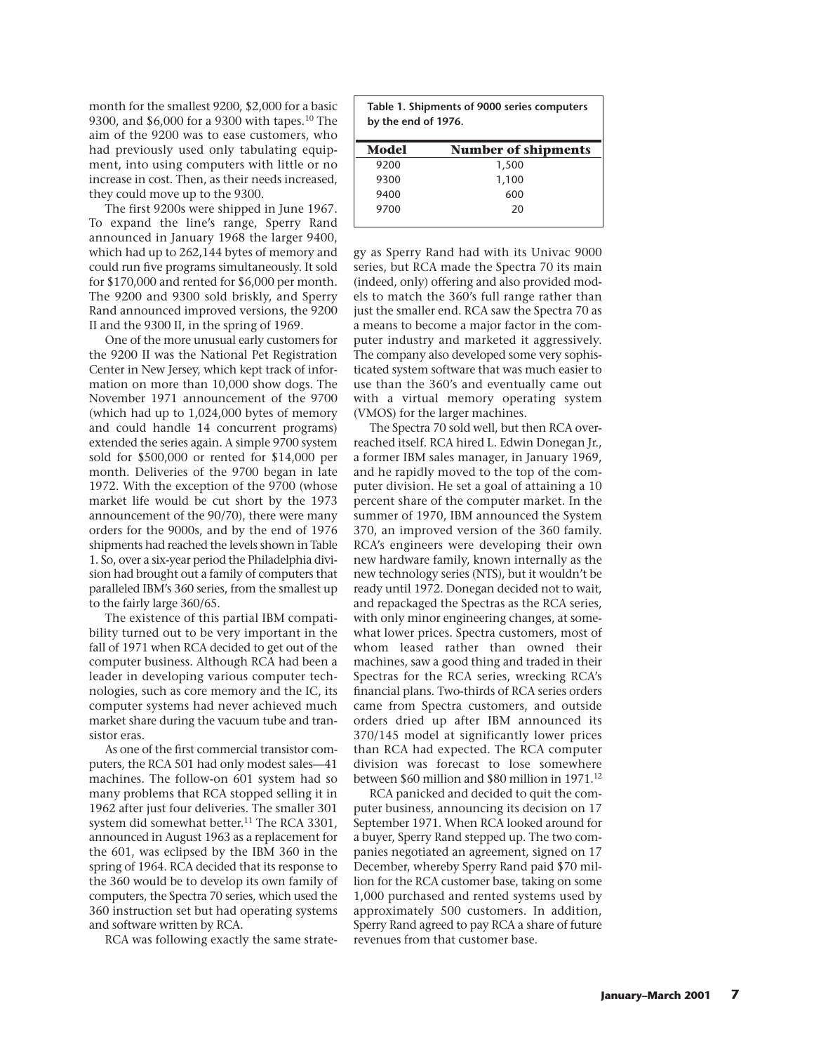month for the smallest 9200, \$2,000 for a basic 9300, and \$6,000 for a 9300 with tapes.10 The aim of the 9200 was to ease customers, who had previously used only tabulating equipment, into using computers with little or no increase in cost. Then, as their needs increased, they could move up to the 9300.

The first 9200s were shipped in June 1967. To expand the line's range, Sperry Rand announced in January 1968 the larger 9400, which had up to 262,144 bytes of memory and could run five programs simultaneously. It sold for \$170,000 and rented for \$6,000 per month. The 9200 and 9300 sold briskly, and Sperry Rand announced improved versions, the 9200 II and the 9300 II, in the spring of 1969.

One of the more unusual early customers for the 9200 II was the National Pet Registration Center in New Jersey, which kept track of information on more than 10,000 show dogs. The November 1971 announcement of the 9700 (which had up to 1,024,000 bytes of memory and could handle 14 concurrent programs) extended the series again. A simple 9700 system sold for \$500,000 or rented for \$14,000 per month. Deliveries of the 9700 began in late 1972. With the exception of the 9700 (whose market life would be cut short by the 1973 announcement of the 90/70), there were many orders for the 9000s, and by the end of 1976 shipments had reached the levels shown in Table 1. So, over a six-year period the Philadelphia division had brought out a family of computers that paralleled IBM's 360 series, from the smallest up to the fairly large 360/65.

The existence of this partial IBM compatibility turned out to be very important in the fall of 1971 when RCA decided to get out of the computer business. Although RCA had been a leader in developing various computer technologies, such as core memory and the IC, its computer systems had never achieved much market share during the vacuum tube and transistor eras.

As one of the first commercial transistor computers, the RCA 501 had only modest sales—41 machines. The follow-on 601 system had so many problems that RCA stopped selling it in 1962 after just four deliveries. The smaller 301 system did somewhat better.<sup>11</sup> The RCA 3301, announced in August 1963 as a replacement for the 601, was eclipsed by the IBM 360 in the spring of 1964. RCA decided that its response to the 360 would be to develop its own family of computers, the Spectra 70 series, which used the 360 instruction set but had operating systems and software written by RCA.

RCA was following exactly the same strate-

| Table 1. Shipments of 9000 series computers<br>by the end of 1976. |                            |
|--------------------------------------------------------------------|----------------------------|
| Model                                                              | <b>Number of shipments</b> |
| 9200                                                               | 1,500                      |
| 9300                                                               | 1,100                      |
| 9400                                                               | 600                        |
| 9700                                                               | 20                         |

gy as Sperry Rand had with its Univac 9000 series, but RCA made the Spectra 70 its main (indeed, only) offering and also provided models to match the 360's full range rather than just the smaller end. RCA saw the Spectra 70 as a means to become a major factor in the computer industry and marketed it aggressively. The company also developed some very sophisticated system software that was much easier to use than the 360's and eventually came out with a virtual memory operating system (VMOS) for the larger machines.

The Spectra 70 sold well, but then RCA overreached itself. RCA hired L. Edwin Donegan Jr., a former IBM sales manager, in January 1969, and he rapidly moved to the top of the computer division. He set a goal of attaining a 10 percent share of the computer market. In the summer of 1970, IBM announced the System 370, an improved version of the 360 family. RCA's engineers were developing their own new hardware family, known internally as the new technology series (NTS), but it wouldn't be ready until 1972. Donegan decided not to wait, and repackaged the Spectras as the RCA series, with only minor engineering changes, at somewhat lower prices. Spectra customers, most of whom leased rather than owned their machines, saw a good thing and traded in their Spectras for the RCA series, wrecking RCA's financial plans. Two-thirds of RCA series orders came from Spectra customers, and outside orders dried up after IBM announced its 370/145 model at significantly lower prices than RCA had expected. The RCA computer division was forecast to lose somewhere between \$60 million and \$80 million in 1971.12

RCA panicked and decided to quit the computer business, announcing its decision on 17 September 1971. When RCA looked around for a buyer, Sperry Rand stepped up. The two companies negotiated an agreement, signed on 17 December, whereby Sperry Rand paid \$70 million for the RCA customer base, taking on some 1,000 purchased and rented systems used by approximately 500 customers. In addition, Sperry Rand agreed to pay RCA a share of future revenues from that customer base.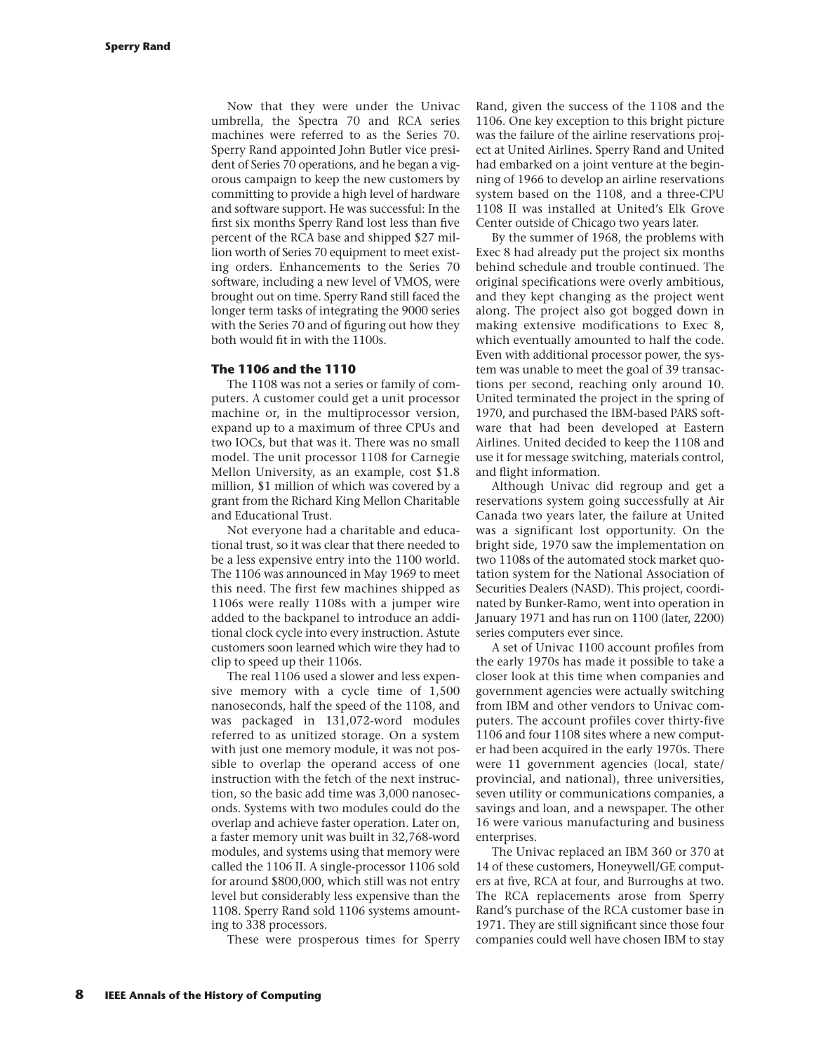Now that they were under the Univac umbrella, the Spectra 70 and RCA series machines were referred to as the Series 70. Sperry Rand appointed John Butler vice president of Series 70 operations, and he began a vigorous campaign to keep the new customers by committing to provide a high level of hardware and software support. He was successful: In the first six months Sperry Rand lost less than five percent of the RCA base and shipped \$27 million worth of Series 70 equipment to meet existing orders. Enhancements to the Series 70 software, including a new level of VMOS, were brought out on time. Sperry Rand still faced the longer term tasks of integrating the 9000 series with the Series 70 and of figuring out how they both would fit in with the 1100s.

# **The 1106 and the 1110**

The 1108 was not a series or family of computers. A customer could get a unit processor machine or, in the multiprocessor version, expand up to a maximum of three CPUs and two IOCs, but that was it. There was no small model. The unit processor 1108 for Carnegie Mellon University, as an example, cost \$1.8 million, \$1 million of which was covered by a grant from the Richard King Mellon Charitable and Educational Trust.

Not everyone had a charitable and educational trust, so it was clear that there needed to be a less expensive entry into the 1100 world. The 1106 was announced in May 1969 to meet this need. The first few machines shipped as 1106s were really 1108s with a jumper wire added to the backpanel to introduce an additional clock cycle into every instruction. Astute customers soon learned which wire they had to clip to speed up their 1106s.

The real 1106 used a slower and less expensive memory with a cycle time of 1,500 nanoseconds, half the speed of the 1108, and was packaged in 131,072-word modules referred to as unitized storage. On a system with just one memory module, it was not possible to overlap the operand access of one instruction with the fetch of the next instruction, so the basic add time was 3,000 nanoseconds. Systems with two modules could do the overlap and achieve faster operation. Later on, a faster memory unit was built in 32,768-word modules, and systems using that memory were called the 1106 II. A single-processor 1106 sold for around \$800,000, which still was not entry level but considerably less expensive than the 1108. Sperry Rand sold 1106 systems amounting to 338 processors.

These were prosperous times for Sperry

Rand, given the success of the 1108 and the 1106. One key exception to this bright picture was the failure of the airline reservations project at United Airlines. Sperry Rand and United had embarked on a joint venture at the beginning of 1966 to develop an airline reservations system based on the 1108, and a three-CPU 1108 II was installed at United's Elk Grove Center outside of Chicago two years later.

By the summer of 1968, the problems with Exec 8 had already put the project six months behind schedule and trouble continued. The original specifications were overly ambitious, and they kept changing as the project went along. The project also got bogged down in making extensive modifications to Exec 8, which eventually amounted to half the code. Even with additional processor power, the system was unable to meet the goal of 39 transactions per second, reaching only around 10. United terminated the project in the spring of 1970, and purchased the IBM-based PARS software that had been developed at Eastern Airlines. United decided to keep the 1108 and use it for message switching, materials control, and flight information.

Although Univac did regroup and get a reservations system going successfully at Air Canada two years later, the failure at United was a significant lost opportunity. On the bright side, 1970 saw the implementation on two 1108s of the automated stock market quotation system for the National Association of Securities Dealers (NASD). This project, coordinated by Bunker-Ramo, went into operation in January 1971 and has run on 1100 (later, 2200) series computers ever since.

A set of Univac 1100 account profiles from the early 1970s has made it possible to take a closer look at this time when companies and government agencies were actually switching from IBM and other vendors to Univac computers. The account profiles cover thirty-five 1106 and four 1108 sites where a new computer had been acquired in the early 1970s. There were 11 government agencies (local, state/ provincial, and national), three universities, seven utility or communications companies, a savings and loan, and a newspaper. The other 16 were various manufacturing and business enterprises.

The Univac replaced an IBM 360 or 370 at 14 of these customers, Honeywell/GE computers at five, RCA at four, and Burroughs at two. The RCA replacements arose from Sperry Rand's purchase of the RCA customer base in 1971. They are still significant since those four companies could well have chosen IBM to stay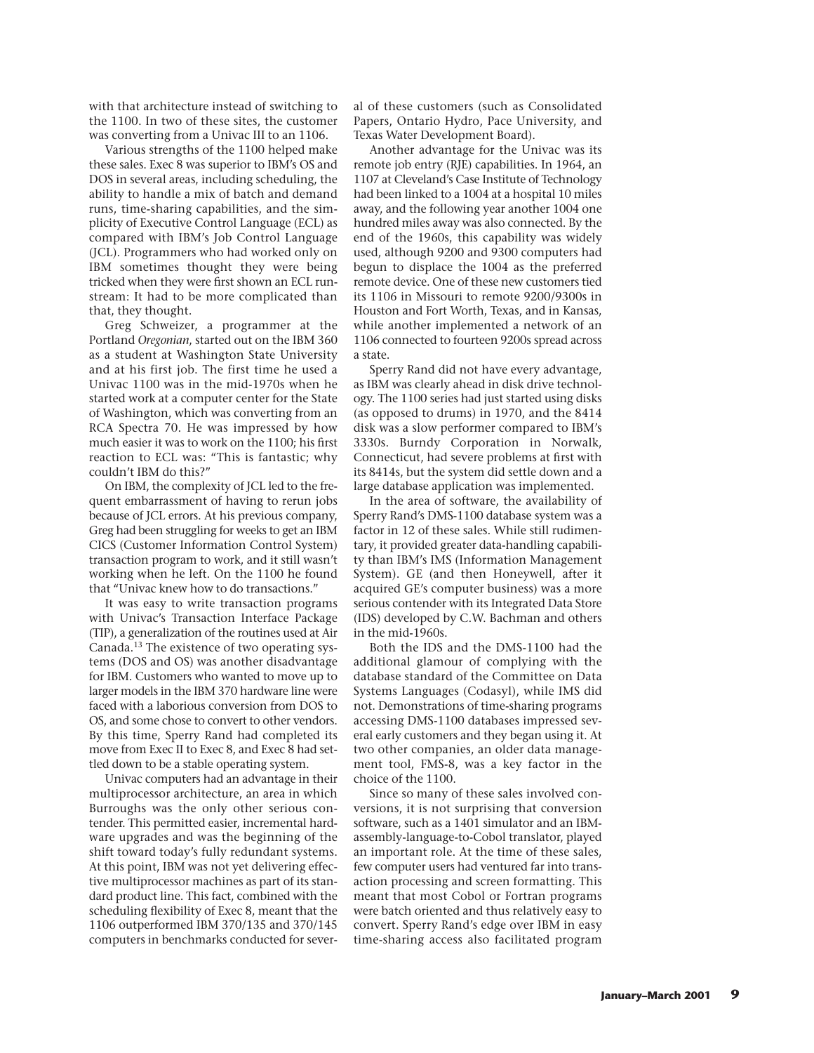with that architecture instead of switching to the 1100. In two of these sites, the customer was converting from a Univac III to an 1106.

Various strengths of the 1100 helped make these sales. Exec 8 was superior to IBM's OS and DOS in several areas, including scheduling, the ability to handle a mix of batch and demand runs, time-sharing capabilities, and the simplicity of Executive Control Language (ECL) as compared with IBM's Job Control Language (JCL). Programmers who had worked only on IBM sometimes thought they were being tricked when they were first shown an ECL runstream: It had to be more complicated than that, they thought.

Greg Schweizer, a programmer at the Portland *Oregonian*, started out on the IBM 360 as a student at Washington State University and at his first job. The first time he used a Univac 1100 was in the mid-1970s when he started work at a computer center for the State of Washington, which was converting from an RCA Spectra 70. He was impressed by how much easier it was to work on the 1100; his first reaction to ECL was: "This is fantastic; why couldn't IBM do this?"

On IBM, the complexity of JCL led to the frequent embarrassment of having to rerun jobs because of JCL errors. At his previous company, Greg had been struggling for weeks to get an IBM CICS (Customer Information Control System) transaction program to work, and it still wasn't working when he left. On the 1100 he found that "Univac knew how to do transactions."

It was easy to write transaction programs with Univac's Transaction Interface Package (TIP), a generalization of the routines used at Air Canada.13 The existence of two operating systems (DOS and OS) was another disadvantage for IBM. Customers who wanted to move up to larger models in the IBM 370 hardware line were faced with a laborious conversion from DOS to OS, and some chose to convert to other vendors. By this time, Sperry Rand had completed its move from Exec II to Exec 8, and Exec 8 had settled down to be a stable operating system.

Univac computers had an advantage in their multiprocessor architecture, an area in which Burroughs was the only other serious contender. This permitted easier, incremental hardware upgrades and was the beginning of the shift toward today's fully redundant systems. At this point, IBM was not yet delivering effective multiprocessor machines as part of its standard product line. This fact, combined with the scheduling flexibility of Exec 8, meant that the 1106 outperformed IBM 370/135 and 370/145 computers in benchmarks conducted for several of these customers (such as Consolidated Papers, Ontario Hydro, Pace University, and Texas Water Development Board).

Another advantage for the Univac was its remote job entry (RJE) capabilities. In 1964, an 1107 at Cleveland's Case Institute of Technology had been linked to a 1004 at a hospital 10 miles away, and the following year another 1004 one hundred miles away was also connected. By the end of the 1960s, this capability was widely used, although 9200 and 9300 computers had begun to displace the 1004 as the preferred remote device. One of these new customers tied its 1106 in Missouri to remote 9200/9300s in Houston and Fort Worth, Texas, and in Kansas, while another implemented a network of an 1106 connected to fourteen 9200s spread across a state.

Sperry Rand did not have every advantage, as IBM was clearly ahead in disk drive technology. The 1100 series had just started using disks (as opposed to drums) in 1970, and the 8414 disk was a slow performer compared to IBM's 3330s. Burndy Corporation in Norwalk, Connecticut, had severe problems at first with its 8414s, but the system did settle down and a large database application was implemented.

In the area of software, the availability of Sperry Rand's DMS-1100 database system was a factor in 12 of these sales. While still rudimentary, it provided greater data-handling capability than IBM's IMS (Information Management System). GE (and then Honeywell, after it acquired GE's computer business) was a more serious contender with its Integrated Data Store (IDS) developed by C.W. Bachman and others in the mid-1960s.

Both the IDS and the DMS-1100 had the additional glamour of complying with the database standard of the Committee on Data Systems Languages (Codasyl), while IMS did not. Demonstrations of time-sharing programs accessing DMS-1100 databases impressed several early customers and they began using it. At two other companies, an older data management tool, FMS-8, was a key factor in the choice of the 1100.

Since so many of these sales involved conversions, it is not surprising that conversion software, such as a 1401 simulator and an IBMassembly-language-to-Cobol translator, played an important role. At the time of these sales, few computer users had ventured far into transaction processing and screen formatting. This meant that most Cobol or Fortran programs were batch oriented and thus relatively easy to convert. Sperry Rand's edge over IBM in easy time-sharing access also facilitated program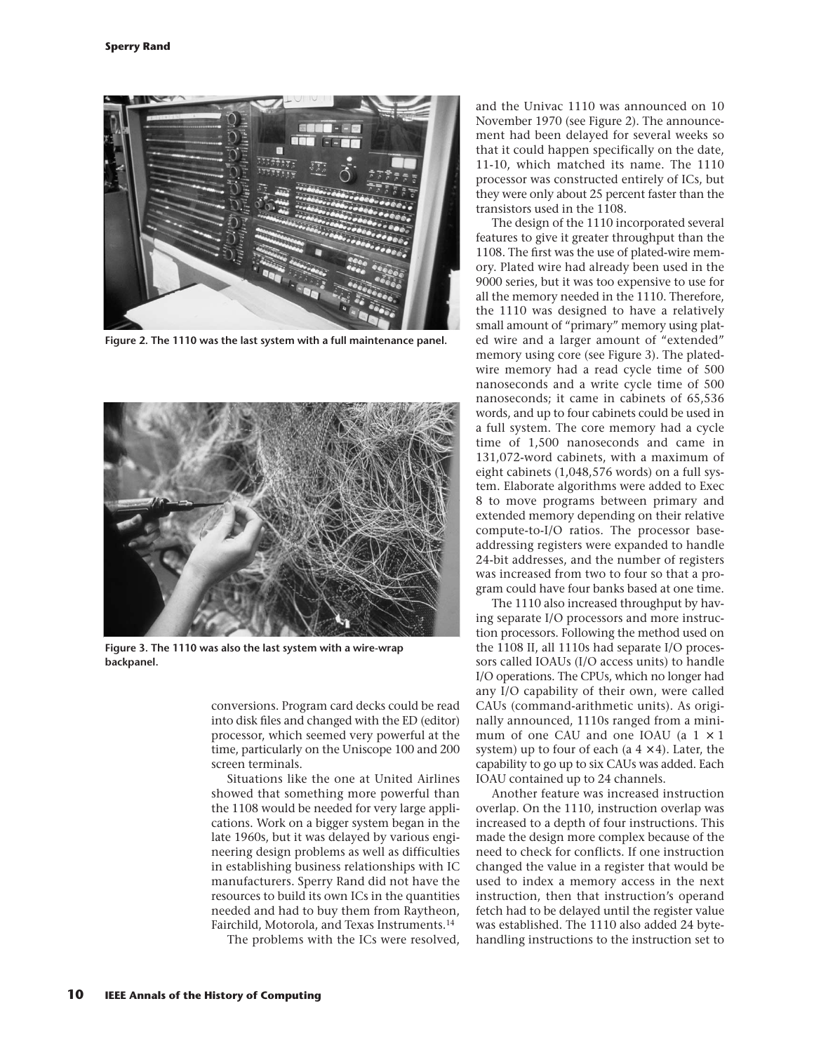

**Figure 2. The 1110 was the last system with a full maintenance panel.**



**Figure 3. The 1110 was also the last system with a wire-wrap backpanel.**

conversions. Program card decks could be read into disk files and changed with the ED (editor) processor, which seemed very powerful at the time, particularly on the Uniscope 100 and 200 screen terminals.

Situations like the one at United Airlines showed that something more powerful than the 1108 would be needed for very large applications. Work on a bigger system began in the late 1960s, but it was delayed by various engineering design problems as well as difficulties in establishing business relationships with IC manufacturers. Sperry Rand did not have the resources to build its own ICs in the quantities needed and had to buy them from Raytheon, Fairchild, Motorola, and Texas Instruments.<sup>14</sup>

The problems with the ICs were resolved,

and the Univac 1110 was announced on 10 November 1970 (see Figure 2). The announcement had been delayed for several weeks so that it could happen specifically on the date, 11-10, which matched its name. The 1110 processor was constructed entirely of ICs, but they were only about 25 percent faster than the transistors used in the 1108.

The design of the 1110 incorporated several features to give it greater throughput than the 1108. The first was the use of plated-wire memory. Plated wire had already been used in the 9000 series, but it was too expensive to use for all the memory needed in the 1110. Therefore, the 1110 was designed to have a relatively small amount of "primary" memory using plated wire and a larger amount of "extended" memory using core (see Figure 3). The platedwire memory had a read cycle time of 500 nanoseconds and a write cycle time of 500 nanoseconds; it came in cabinets of 65,536 words, and up to four cabinets could be used in a full system. The core memory had a cycle time of 1,500 nanoseconds and came in 131,072-word cabinets, with a maximum of eight cabinets (1,048,576 words) on a full system. Elaborate algorithms were added to Exec 8 to move programs between primary and extended memory depending on their relative compute-to-I/O ratios. The processor baseaddressing registers were expanded to handle 24-bit addresses, and the number of registers was increased from two to four so that a program could have four banks based at one time.

The 1110 also increased throughput by having separate I/O processors and more instruction processors. Following the method used on the 1108 II, all 1110s had separate I/O processors called IOAUs (I/O access units) to handle I/O operations. The CPUs, which no longer had any I/O capability of their own, were called CAUs (command-arithmetic units). As originally announced, 1110s ranged from a minimum of one CAU and one IOAU (a  $1 \times 1$ ) system) up to four of each (a  $4 \times 4$ ). Later, the capability to go up to six CAUs was added. Each IOAU contained up to 24 channels.

Another feature was increased instruction overlap. On the 1110, instruction overlap was increased to a depth of four instructions. This made the design more complex because of the need to check for conflicts. If one instruction changed the value in a register that would be used to index a memory access in the next instruction, then that instruction's operand fetch had to be delayed until the register value was established. The 1110 also added 24 bytehandling instructions to the instruction set to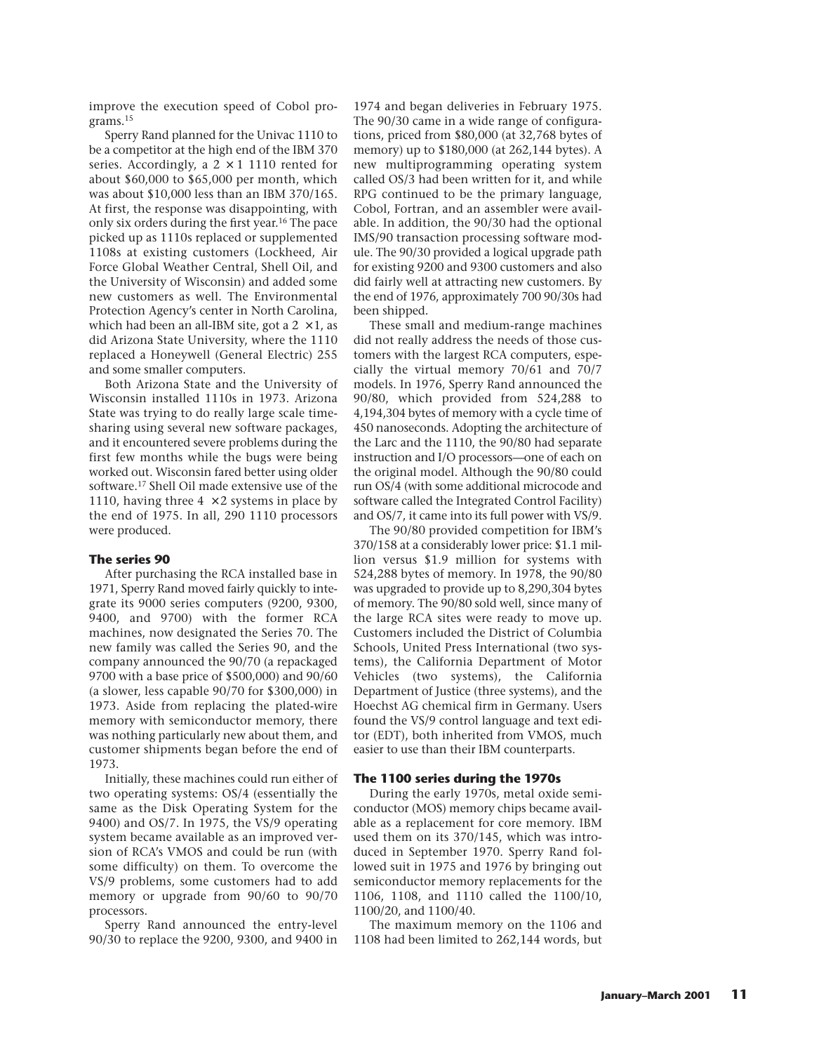improve the execution speed of Cobol programs.15

Sperry Rand planned for the Univac 1110 to be a competitor at the high end of the IBM 370 series. Accordingly, a  $2 \times 1$  1110 rented for about \$60,000 to \$65,000 per month, which was about \$10,000 less than an IBM 370/165. At first, the response was disappointing, with only six orders during the first year.16 The pace picked up as 1110s replaced or supplemented 1108s at existing customers (Lockheed, Air Force Global Weather Central, Shell Oil, and the University of Wisconsin) and added some new customers as well. The Environmental Protection Agency's center in North Carolina, which had been an all-IBM site, got a  $2 \times 1$ , as did Arizona State University, where the 1110 replaced a Honeywell (General Electric) 255 and some smaller computers.

Both Arizona State and the University of Wisconsin installed 1110s in 1973. Arizona State was trying to do really large scale timesharing using several new software packages, and it encountered severe problems during the first few months while the bugs were being worked out. Wisconsin fared better using older software.17 Shell Oil made extensive use of the 1110, having three  $4 \times 2$  systems in place by the end of 1975. In all, 290 1110 processors were produced.

# **The series 90**

After purchasing the RCA installed base in 1971, Sperry Rand moved fairly quickly to integrate its 9000 series computers (9200, 9300, 9400, and 9700) with the former RCA machines, now designated the Series 70. The new family was called the Series 90, and the company announced the 90/70 (a repackaged 9700 with a base price of \$500,000) and 90/60 (a slower, less capable 90/70 for \$300,000) in 1973. Aside from replacing the plated-wire memory with semiconductor memory, there was nothing particularly new about them, and customer shipments began before the end of 1973.

Initially, these machines could run either of two operating systems: OS/4 (essentially the same as the Disk Operating System for the 9400) and OS/7. In 1975, the VS/9 operating system became available as an improved version of RCA's VMOS and could be run (with some difficulty) on them. To overcome the VS/9 problems, some customers had to add memory or upgrade from 90/60 to 90/70 processors.

Sperry Rand announced the entry-level 90/30 to replace the 9200, 9300, and 9400 in 1974 and began deliveries in February 1975. The 90/30 came in a wide range of configurations, priced from \$80,000 (at 32,768 bytes of memory) up to \$180,000 (at 262,144 bytes). A new multiprogramming operating system called OS/3 had been written for it, and while RPG continued to be the primary language, Cobol, Fortran, and an assembler were available. In addition, the 90/30 had the optional IMS/90 transaction processing software module. The 90/30 provided a logical upgrade path for existing 9200 and 9300 customers and also did fairly well at attracting new customers. By the end of 1976, approximately 700 90/30s had been shipped.

These small and medium-range machines did not really address the needs of those customers with the largest RCA computers, especially the virtual memory 70/61 and 70/7 models. In 1976, Sperry Rand announced the 90/80, which provided from 524,288 to 4,194,304 bytes of memory with a cycle time of 450 nanoseconds. Adopting the architecture of the Larc and the 1110, the 90/80 had separate instruction and I/O processors—one of each on the original model. Although the 90/80 could run OS/4 (with some additional microcode and software called the Integrated Control Facility) and OS/7, it came into its full power with VS/9.

The 90/80 provided competition for IBM's 370/158 at a considerably lower price: \$1.1 million versus \$1.9 million for systems with 524,288 bytes of memory. In 1978, the 90/80 was upgraded to provide up to 8,290,304 bytes of memory. The 90/80 sold well, since many of the large RCA sites were ready to move up. Customers included the District of Columbia Schools, United Press International (two systems), the California Department of Motor Vehicles (two systems), the California Department of Justice (three systems), and the Hoechst AG chemical firm in Germany. Users found the VS/9 control language and text editor (EDT), both inherited from VMOS, much easier to use than their IBM counterparts.

# **The 1100 series during the 1970s**

During the early 1970s, metal oxide semiconductor (MOS) memory chips became available as a replacement for core memory. IBM used them on its 370/145, which was introduced in September 1970. Sperry Rand followed suit in 1975 and 1976 by bringing out semiconductor memory replacements for the 1106, 1108, and 1110 called the 1100/10, 1100/20, and 1100/40.

The maximum memory on the 1106 and 1108 had been limited to 262,144 words, but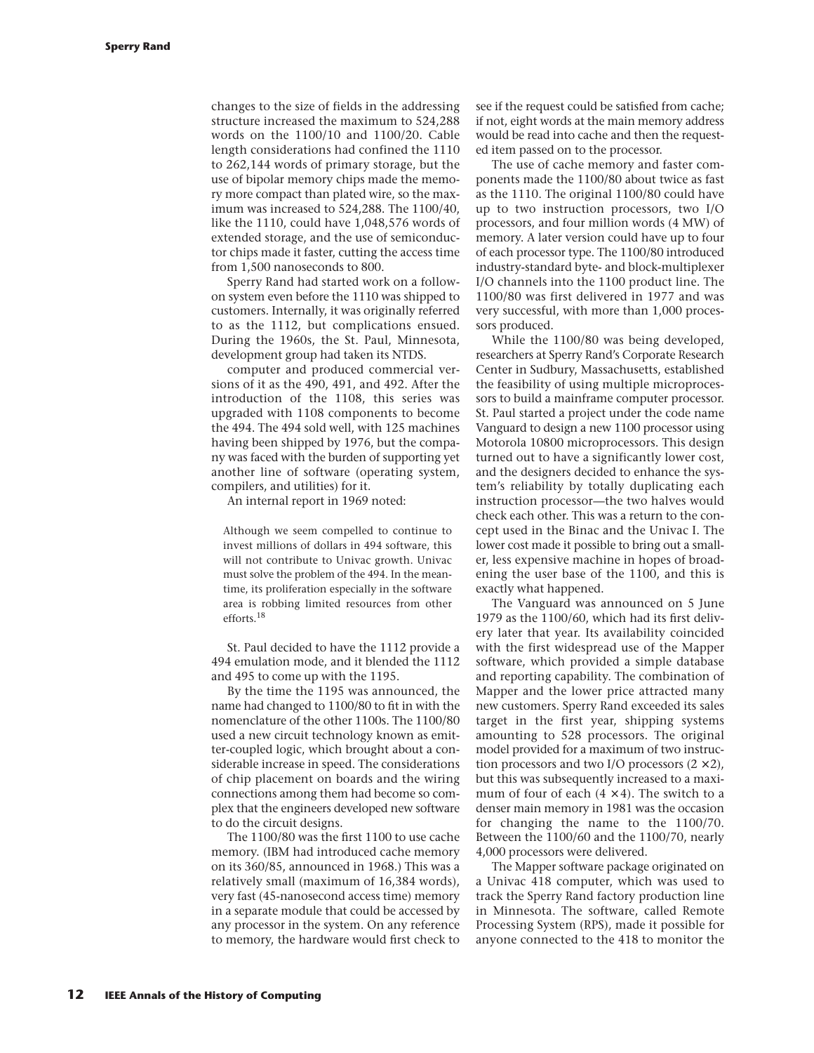changes to the size of fields in the addressing structure increased the maximum to 524,288 words on the 1100/10 and 1100/20. Cable length considerations had confined the 1110 to 262,144 words of primary storage, but the use of bipolar memory chips made the memory more compact than plated wire, so the maximum was increased to 524,288. The 1100/40, like the 1110, could have 1,048,576 words of extended storage, and the use of semiconductor chips made it faster, cutting the access time from 1,500 nanoseconds to 800.

Sperry Rand had started work on a followon system even before the 1110 was shipped to customers. Internally, it was originally referred to as the 1112, but complications ensued. During the 1960s, the St. Paul, Minnesota, development group had taken its NTDS.

computer and produced commercial versions of it as the 490, 491, and 492. After the introduction of the 1108, this series was upgraded with 1108 components to become the 494. The 494 sold well, with 125 machines having been shipped by 1976, but the company was faced with the burden of supporting yet another line of software (operating system, compilers, and utilities) for it.

An internal report in 1969 noted:

Although we seem compelled to continue to invest millions of dollars in 494 software, this will not contribute to Univac growth. Univac must solve the problem of the 494. In the meantime, its proliferation especially in the software area is robbing limited resources from other efforts.18

St. Paul decided to have the 1112 provide a 494 emulation mode, and it blended the 1112 and 495 to come up with the 1195.

By the time the 1195 was announced, the name had changed to 1100/80 to fit in with the nomenclature of the other 1100s. The 1100/80 used a new circuit technology known as emitter-coupled logic, which brought about a considerable increase in speed. The considerations of chip placement on boards and the wiring connections among them had become so complex that the engineers developed new software to do the circuit designs.

The 1100/80 was the first 1100 to use cache memory. (IBM had introduced cache memory on its 360/85, announced in 1968.) This was a relatively small (maximum of 16,384 words), very fast (45-nanosecond access time) memory in a separate module that could be accessed by any processor in the system. On any reference to memory, the hardware would first check to see if the request could be satisfied from cache; if not, eight words at the main memory address would be read into cache and then the requested item passed on to the processor.

The use of cache memory and faster components made the 1100/80 about twice as fast as the 1110. The original 1100/80 could have up to two instruction processors, two I/O processors, and four million words (4 MW) of memory. A later version could have up to four of each processor type. The 1100/80 introduced industry-standard byte- and block-multiplexer I/O channels into the 1100 product line. The 1100/80 was first delivered in 1977 and was very successful, with more than 1,000 processors produced.

While the 1100/80 was being developed, researchers at Sperry Rand's Corporate Research Center in Sudbury, Massachusetts, established the feasibility of using multiple microprocessors to build a mainframe computer processor. St. Paul started a project under the code name Vanguard to design a new 1100 processor using Motorola 10800 microprocessors. This design turned out to have a significantly lower cost, and the designers decided to enhance the system's reliability by totally duplicating each instruction processor—the two halves would check each other. This was a return to the concept used in the Binac and the Univac I. The lower cost made it possible to bring out a smaller, less expensive machine in hopes of broadening the user base of the 1100, and this is exactly what happened.

The Vanguard was announced on 5 June 1979 as the 1100/60, which had its first delivery later that year. Its availability coincided with the first widespread use of the Mapper software, which provided a simple database and reporting capability. The combination of Mapper and the lower price attracted many new customers. Sperry Rand exceeded its sales target in the first year, shipping systems amounting to 528 processors. The original model provided for a maximum of two instruction processors and two I/O processors  $(2 \times 2)$ , but this was subsequently increased to a maximum of four of each  $(4 \times 4)$ . The switch to a denser main memory in 1981 was the occasion for changing the name to the 1100/70. Between the 1100/60 and the 1100/70, nearly 4,000 processors were delivered.

The Mapper software package originated on a Univac 418 computer, which was used to track the Sperry Rand factory production line in Minnesota. The software, called Remote Processing System (RPS), made it possible for anyone connected to the 418 to monitor the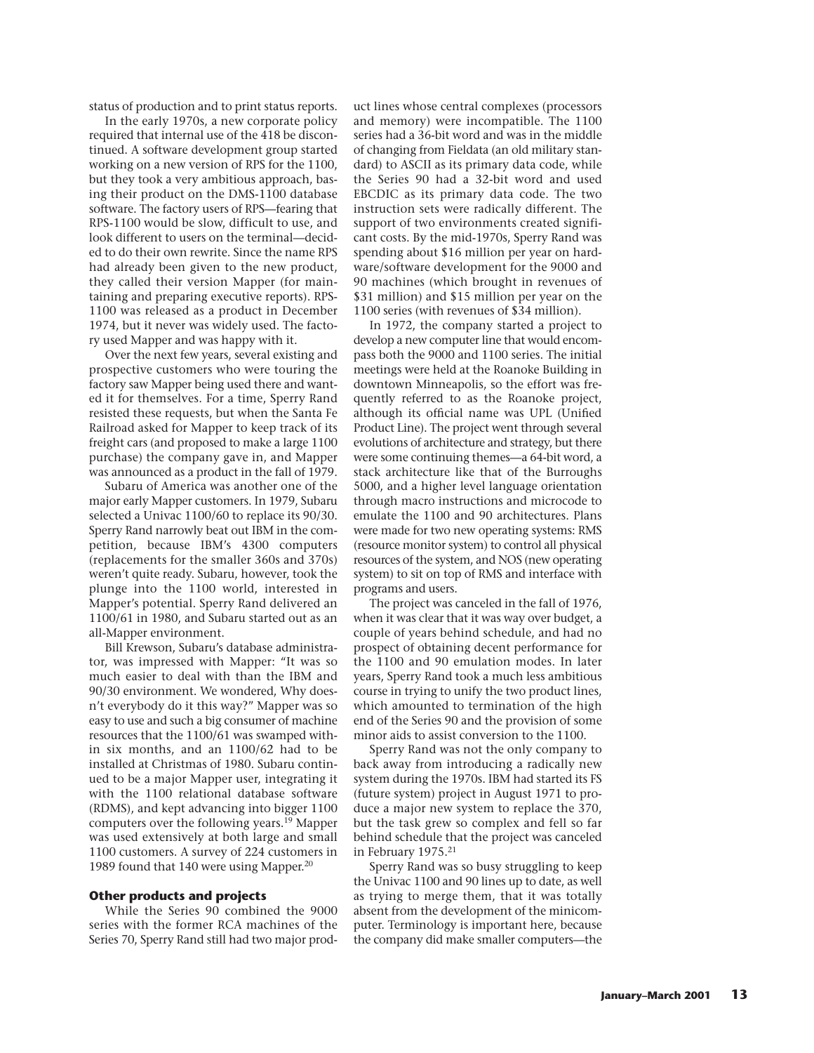status of production and to print status reports.

In the early 1970s, a new corporate policy required that internal use of the 418 be discontinued. A software development group started working on a new version of RPS for the 1100, but they took a very ambitious approach, basing their product on the DMS-1100 database software. The factory users of RPS—fearing that RPS-1100 would be slow, difficult to use, and look different to users on the terminal—decided to do their own rewrite. Since the name RPS had already been given to the new product, they called their version Mapper (for maintaining and preparing executive reports). RPS-1100 was released as a product in December 1974, but it never was widely used. The factory used Mapper and was happy with it.

Over the next few years, several existing and prospective customers who were touring the factory saw Mapper being used there and wanted it for themselves. For a time, Sperry Rand resisted these requests, but when the Santa Fe Railroad asked for Mapper to keep track of its freight cars (and proposed to make a large 1100 purchase) the company gave in, and Mapper was announced as a product in the fall of 1979.

Subaru of America was another one of the major early Mapper customers. In 1979, Subaru selected a Univac 1100/60 to replace its 90/30. Sperry Rand narrowly beat out IBM in the competition, because IBM's 4300 computers (replacements for the smaller 360s and 370s) weren't quite ready. Subaru, however, took the plunge into the 1100 world, interested in Mapper's potential. Sperry Rand delivered an 1100/61 in 1980, and Subaru started out as an all-Mapper environment.

Bill Krewson, Subaru's database administrator, was impressed with Mapper: "It was so much easier to deal with than the IBM and 90/30 environment. We wondered, Why doesn't everybody do it this way?" Mapper was so easy to use and such a big consumer of machine resources that the 1100/61 was swamped within six months, and an 1100/62 had to be installed at Christmas of 1980. Subaru continued to be a major Mapper user, integrating it with the 1100 relational database software (RDMS), and kept advancing into bigger 1100 computers over the following years.19 Mapper was used extensively at both large and small 1100 customers. A survey of 224 customers in 1989 found that 140 were using Mapper.<sup>20</sup>

#### **Other products and projects**

While the Series 90 combined the 9000 series with the former RCA machines of the Series 70, Sperry Rand still had two major product lines whose central complexes (processors and memory) were incompatible. The 1100 series had a 36-bit word and was in the middle of changing from Fieldata (an old military standard) to ASCII as its primary data code, while the Series 90 had a 32-bit word and used EBCDIC as its primary data code. The two instruction sets were radically different. The support of two environments created significant costs. By the mid-1970s, Sperry Rand was spending about \$16 million per year on hardware/software development for the 9000 and 90 machines (which brought in revenues of \$31 million) and \$15 million per year on the 1100 series (with revenues of \$34 million).

In 1972, the company started a project to develop a new computer line that would encompass both the 9000 and 1100 series. The initial meetings were held at the Roanoke Building in downtown Minneapolis, so the effort was frequently referred to as the Roanoke project, although its official name was UPL (Unified Product Line). The project went through several evolutions of architecture and strategy, but there were some continuing themes—a 64-bit word, a stack architecture like that of the Burroughs 5000, and a higher level language orientation through macro instructions and microcode to emulate the 1100 and 90 architectures. Plans were made for two new operating systems: RMS (resource monitor system) to control all physical resources of the system, and NOS (new operating system) to sit on top of RMS and interface with programs and users.

The project was canceled in the fall of 1976, when it was clear that it was way over budget, a couple of years behind schedule, and had no prospect of obtaining decent performance for the 1100 and 90 emulation modes. In later years, Sperry Rand took a much less ambitious course in trying to unify the two product lines, which amounted to termination of the high end of the Series 90 and the provision of some minor aids to assist conversion to the 1100.

Sperry Rand was not the only company to back away from introducing a radically new system during the 1970s. IBM had started its FS (future system) project in August 1971 to produce a major new system to replace the 370, but the task grew so complex and fell so far behind schedule that the project was canceled in February 1975.21

Sperry Rand was so busy struggling to keep the Univac 1100 and 90 lines up to date, as well as trying to merge them, that it was totally absent from the development of the minicomputer. Terminology is important here, because the company did make smaller computers—the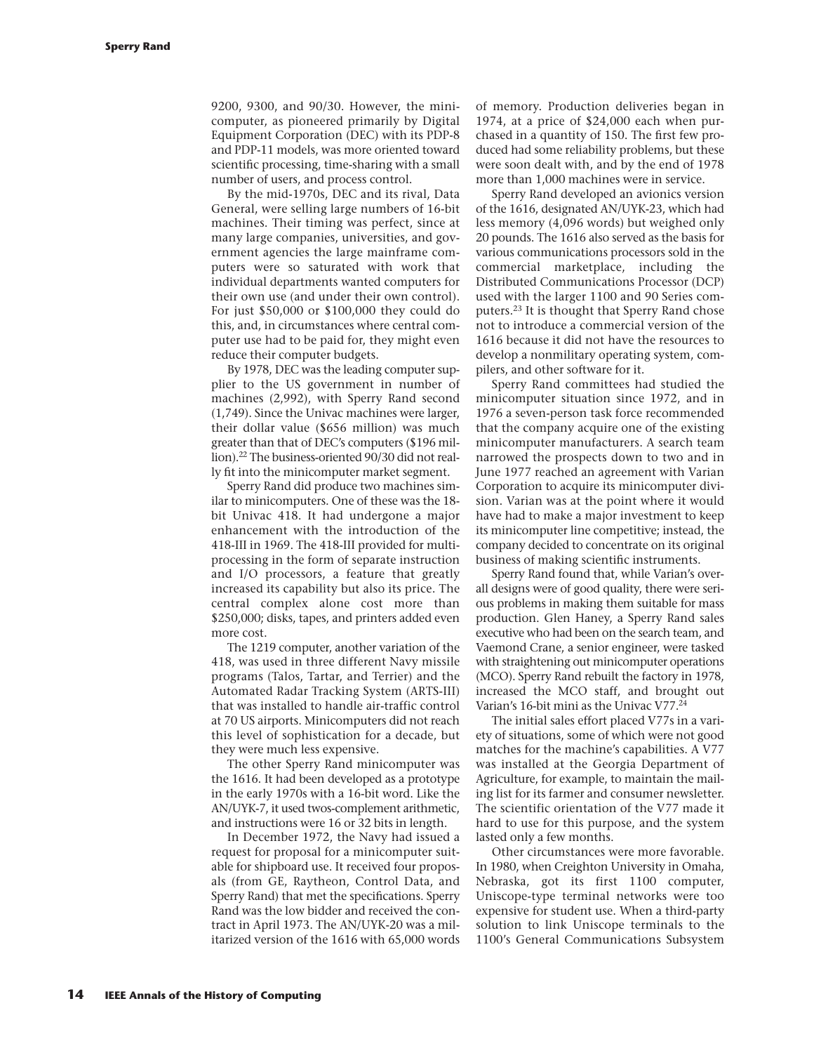9200, 9300, and 90/30. However, the minicomputer, as pioneered primarily by Digital Equipment Corporation (DEC) with its PDP-8 and PDP-11 models, was more oriented toward scientific processing, time-sharing with a small number of users, and process control.

By the mid-1970s, DEC and its rival, Data General, were selling large numbers of 16-bit machines. Their timing was perfect, since at many large companies, universities, and government agencies the large mainframe computers were so saturated with work that individual departments wanted computers for their own use (and under their own control). For just \$50,000 or \$100,000 they could do this, and, in circumstances where central computer use had to be paid for, they might even reduce their computer budgets.

By 1978, DEC was the leading computer supplier to the US government in number of machines (2,992), with Sperry Rand second (1,749). Since the Univac machines were larger, their dollar value (\$656 million) was much greater than that of DEC's computers (\$196 million).22 The business-oriented 90/30 did not really fit into the minicomputer market segment.

Sperry Rand did produce two machines similar to minicomputers. One of these was the 18 bit Univac 418. It had undergone a major enhancement with the introduction of the 418-III in 1969. The 418-III provided for multiprocessing in the form of separate instruction and I/O processors, a feature that greatly increased its capability but also its price. The central complex alone cost more than \$250,000; disks, tapes, and printers added even more cost.

The 1219 computer, another variation of the 418, was used in three different Navy missile programs (Talos, Tartar, and Terrier) and the Automated Radar Tracking System (ARTS-III) that was installed to handle air-traffic control at 70 US airports. Minicomputers did not reach this level of sophistication for a decade, but they were much less expensive.

The other Sperry Rand minicomputer was the 1616. It had been developed as a prototype in the early 1970s with a 16-bit word. Like the AN/UYK-7, it used twos-complement arithmetic, and instructions were 16 or 32 bits in length.

In December 1972, the Navy had issued a request for proposal for a minicomputer suitable for shipboard use. It received four proposals (from GE, Raytheon, Control Data, and Sperry Rand) that met the specifications. Sperry Rand was the low bidder and received the contract in April 1973. The AN/UYK-20 was a militarized version of the 1616 with 65,000 words of memory. Production deliveries began in 1974, at a price of \$24,000 each when purchased in a quantity of 150. The first few produced had some reliability problems, but these were soon dealt with, and by the end of 1978 more than 1,000 machines were in service.

Sperry Rand developed an avionics version of the 1616, designated AN/UYK-23, which had less memory (4,096 words) but weighed only 20 pounds. The 1616 also served as the basis for various communications processors sold in the commercial marketplace, including the Distributed Communications Processor (DCP) used with the larger 1100 and 90 Series computers.23 It is thought that Sperry Rand chose not to introduce a commercial version of the 1616 because it did not have the resources to develop a nonmilitary operating system, compilers, and other software for it.

Sperry Rand committees had studied the minicomputer situation since 1972, and in 1976 a seven-person task force recommended that the company acquire one of the existing minicomputer manufacturers. A search team narrowed the prospects down to two and in June 1977 reached an agreement with Varian Corporation to acquire its minicomputer division. Varian was at the point where it would have had to make a major investment to keep its minicomputer line competitive; instead, the company decided to concentrate on its original business of making scientific instruments.

Sperry Rand found that, while Varian's overall designs were of good quality, there were serious problems in making them suitable for mass production. Glen Haney, a Sperry Rand sales executive who had been on the search team, and Vaemond Crane, a senior engineer, were tasked with straightening out minicomputer operations (MCO). Sperry Rand rebuilt the factory in 1978, increased the MCO staff, and brought out Varian's 16-bit mini as the Univac V77.24

The initial sales effort placed V77s in a variety of situations, some of which were not good matches for the machine's capabilities. A V77 was installed at the Georgia Department of Agriculture, for example, to maintain the mailing list for its farmer and consumer newsletter. The scientific orientation of the V77 made it hard to use for this purpose, and the system lasted only a few months.

Other circumstances were more favorable. In 1980, when Creighton University in Omaha, Nebraska, got its first 1100 computer, Uniscope-type terminal networks were too expensive for student use. When a third-party solution to link Uniscope terminals to the 1100's General Communications Subsystem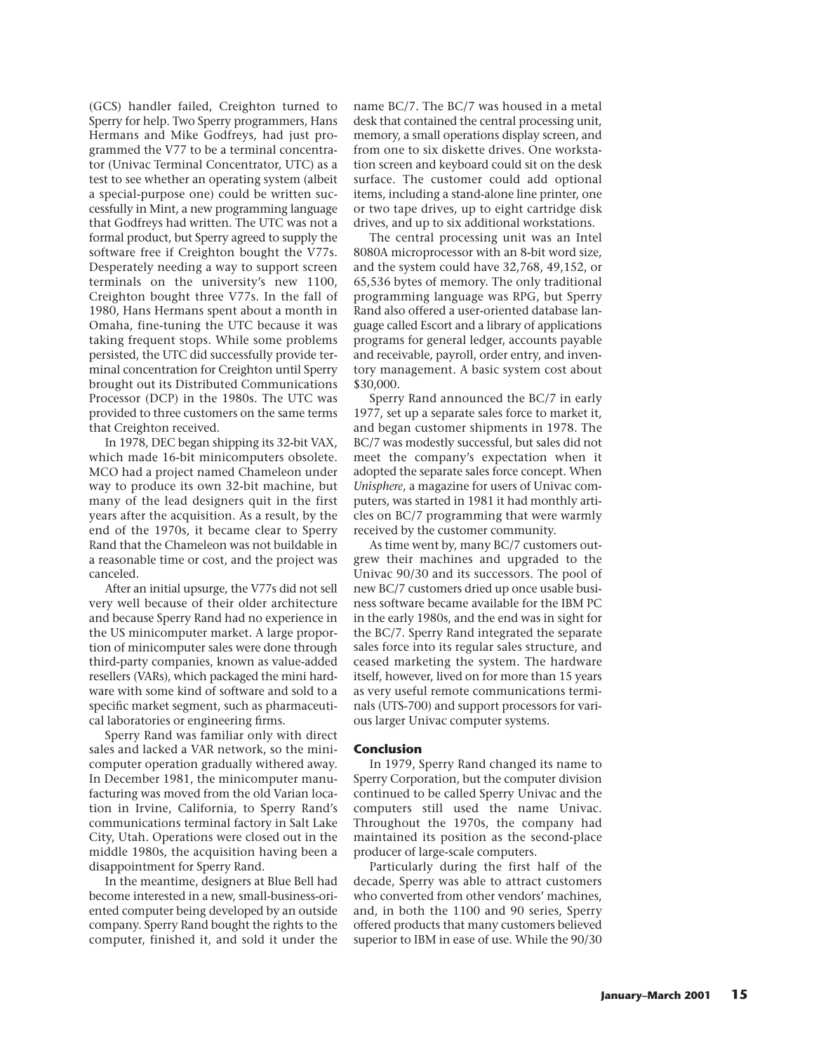(GCS) handler failed, Creighton turned to Sperry for help. Two Sperry programmers, Hans Hermans and Mike Godfreys, had just programmed the V77 to be a terminal concentrator (Univac Terminal Concentrator, UTC) as a test to see whether an operating system (albeit a special-purpose one) could be written successfully in Mint, a new programming language that Godfreys had written. The UTC was not a formal product, but Sperry agreed to supply the software free if Creighton bought the V77s. Desperately needing a way to support screen terminals on the university's new 1100, Creighton bought three V77s. In the fall of 1980, Hans Hermans spent about a month in Omaha, fine-tuning the UTC because it was taking frequent stops. While some problems persisted, the UTC did successfully provide terminal concentration for Creighton until Sperry brought out its Distributed Communications Processor (DCP) in the 1980s. The UTC was provided to three customers on the same terms that Creighton received.

In 1978, DEC began shipping its 32-bit VAX, which made 16-bit minicomputers obsolete. MCO had a project named Chameleon under way to produce its own 32-bit machine, but many of the lead designers quit in the first years after the acquisition. As a result, by the end of the 1970s, it became clear to Sperry Rand that the Chameleon was not buildable in a reasonable time or cost, and the project was canceled.

After an initial upsurge, the V77s did not sell very well because of their older architecture and because Sperry Rand had no experience in the US minicomputer market. A large proportion of minicomputer sales were done through third-party companies, known as value-added resellers (VARs), which packaged the mini hardware with some kind of software and sold to a specific market segment, such as pharmaceutical laboratories or engineering firms.

Sperry Rand was familiar only with direct sales and lacked a VAR network, so the minicomputer operation gradually withered away. In December 1981, the minicomputer manufacturing was moved from the old Varian location in Irvine, California, to Sperry Rand's communications terminal factory in Salt Lake City, Utah. Operations were closed out in the middle 1980s, the acquisition having been a disappointment for Sperry Rand.

In the meantime, designers at Blue Bell had become interested in a new, small-business-oriented computer being developed by an outside company. Sperry Rand bought the rights to the computer, finished it, and sold it under the name BC/7. The BC/7 was housed in a metal desk that contained the central processing unit, memory, a small operations display screen, and from one to six diskette drives. One workstation screen and keyboard could sit on the desk surface. The customer could add optional items, including a stand-alone line printer, one or two tape drives, up to eight cartridge disk drives, and up to six additional workstations.

The central processing unit was an Intel 8080A microprocessor with an 8-bit word size, and the system could have 32,768, 49,152, or 65,536 bytes of memory. The only traditional programming language was RPG, but Sperry Rand also offered a user-oriented database language called Escort and a library of applications programs for general ledger, accounts payable and receivable, payroll, order entry, and inventory management. A basic system cost about \$30,000.

Sperry Rand announced the BC/7 in early 1977, set up a separate sales force to market it, and began customer shipments in 1978. The BC/7 was modestly successful, but sales did not meet the company's expectation when it adopted the separate sales force concept. When *Unisphere*, a magazine for users of Univac computers, was started in 1981 it had monthly articles on BC/7 programming that were warmly received by the customer community.

As time went by, many BC/7 customers outgrew their machines and upgraded to the Univac 90/30 and its successors. The pool of new BC/7 customers dried up once usable business software became available for the IBM PC in the early 1980s, and the end was in sight for the BC/7. Sperry Rand integrated the separate sales force into its regular sales structure, and ceased marketing the system. The hardware itself, however, lived on for more than 15 years as very useful remote communications terminals (UTS-700) and support processors for various larger Univac computer systems.

# **Conclusion**

In 1979, Sperry Rand changed its name to Sperry Corporation, but the computer division continued to be called Sperry Univac and the computers still used the name Univac. Throughout the 1970s, the company had maintained its position as the second-place producer of large-scale computers.

Particularly during the first half of the decade, Sperry was able to attract customers who converted from other vendors' machines, and, in both the 1100 and 90 series, Sperry offered products that many customers believed superior to IBM in ease of use. While the 90/30